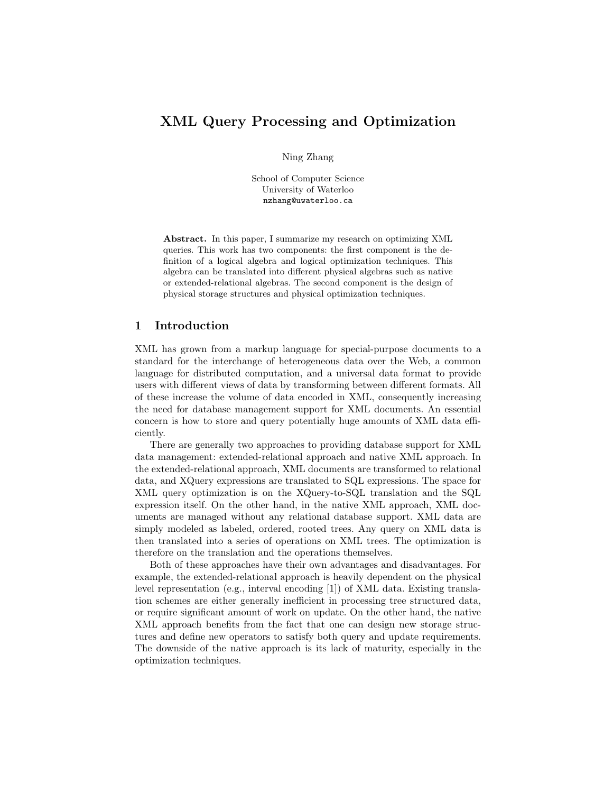# XML Query Processing and Optimization

Ning Zhang

School of Computer Science University of Waterloo nzhang@uwaterloo.ca

Abstract. In this paper, I summarize my research on optimizing XML queries. This work has two components: the first component is the definition of a logical algebra and logical optimization techniques. This algebra can be translated into different physical algebras such as native or extended-relational algebras. The second component is the design of physical storage structures and physical optimization techniques.

### 1 Introduction

XML has grown from a markup language for special-purpose documents to a standard for the interchange of heterogeneous data over the Web, a common language for distributed computation, and a universal data format to provide users with different views of data by transforming between different formats. All of these increase the volume of data encoded in XML, consequently increasing the need for database management support for XML documents. An essential concern is how to store and query potentially huge amounts of XML data efficiently.

There are generally two approaches to providing database support for XML data management: extended-relational approach and native XML approach. In the extended-relational approach, XML documents are transformed to relational data, and XQuery expressions are translated to SQL expressions. The space for XML query optimization is on the XQuery-to-SQL translation and the SQL expression itself. On the other hand, in the native XML approach, XML documents are managed without any relational database support. XML data are simply modeled as labeled, ordered, rooted trees. Any query on XML data is then translated into a series of operations on XML trees. The optimization is therefore on the translation and the operations themselves.

Both of these approaches have their own advantages and disadvantages. For example, the extended-relational approach is heavily dependent on the physical level representation (e.g., interval encoding [1]) of XML data. Existing translation schemes are either generally inefficient in processing tree structured data, or require significant amount of work on update. On the other hand, the native XML approach benefits from the fact that one can design new storage structures and define new operators to satisfy both query and update requirements. The downside of the native approach is its lack of maturity, especially in the optimization techniques.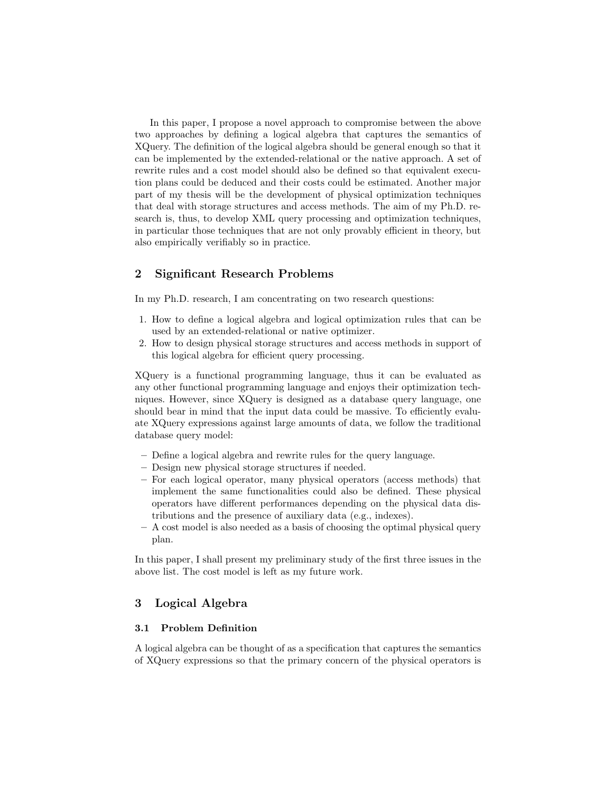In this paper, I propose a novel approach to compromise between the above two approaches by defining a logical algebra that captures the semantics of XQuery. The definition of the logical algebra should be general enough so that it can be implemented by the extended-relational or the native approach. A set of rewrite rules and a cost model should also be defined so that equivalent execution plans could be deduced and their costs could be estimated. Another major part of my thesis will be the development of physical optimization techniques that deal with storage structures and access methods. The aim of my Ph.D. research is, thus, to develop XML query processing and optimization techniques, in particular those techniques that are not only provably efficient in theory, but also empirically verifiably so in practice.

# 2 Significant Research Problems

In my Ph.D. research, I am concentrating on two research questions:

- 1. How to define a logical algebra and logical optimization rules that can be used by an extended-relational or native optimizer.
- 2. How to design physical storage structures and access methods in support of this logical algebra for efficient query processing.

XQuery is a functional programming language, thus it can be evaluated as any other functional programming language and enjoys their optimization techniques. However, since XQuery is designed as a database query language, one should bear in mind that the input data could be massive. To efficiently evaluate XQuery expressions against large amounts of data, we follow the traditional database query model:

- Define a logical algebra and rewrite rules for the query language.
- Design new physical storage structures if needed.
- For each logical operator, many physical operators (access methods) that implement the same functionalities could also be defined. These physical operators have different performances depending on the physical data distributions and the presence of auxiliary data (e.g., indexes).
- A cost model is also needed as a basis of choosing the optimal physical query plan.

In this paper, I shall present my preliminary study of the first three issues in the above list. The cost model is left as my future work.

# 3 Logical Algebra

### 3.1 Problem Definition

A logical algebra can be thought of as a specification that captures the semantics of XQuery expressions so that the primary concern of the physical operators is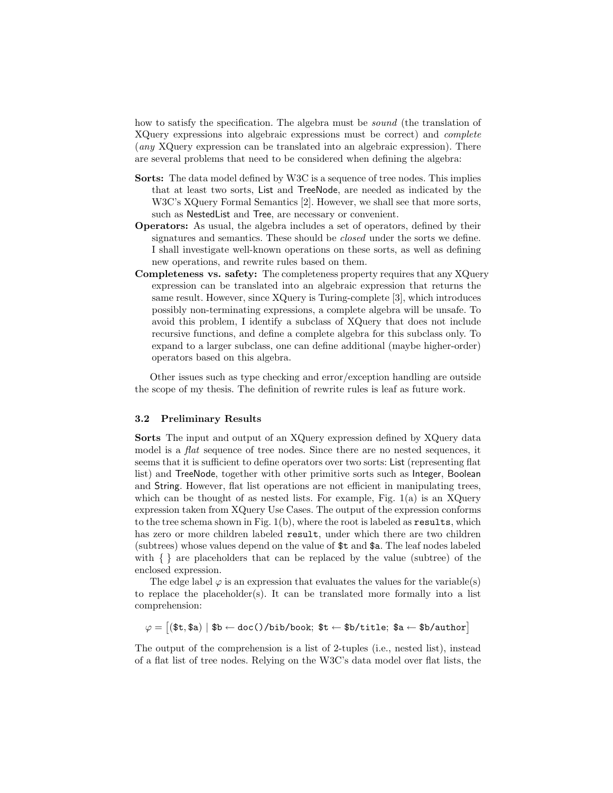how to satisfy the specification. The algebra must be *sound* (the translation of XQuery expressions into algebraic expressions must be correct) and complete (any XQuery expression can be translated into an algebraic expression). There are several problems that need to be considered when defining the algebra:

- Sorts: The data model defined by W3C is a sequence of tree nodes. This implies that at least two sorts, List and TreeNode, are needed as indicated by the W3C's XQuery Formal Semantics [2]. However, we shall see that more sorts, such as NestedList and Tree, are necessary or convenient.
- Operators: As usual, the algebra includes a set of operators, defined by their signatures and semantics. These should be *closed* under the sorts we define. I shall investigate well-known operations on these sorts, as well as defining new operations, and rewrite rules based on them.
- Completeness vs. safety: The completeness property requires that any XQuery expression can be translated into an algebraic expression that returns the same result. However, since XQuery is Turing-complete [3], which introduces possibly non-terminating expressions, a complete algebra will be unsafe. To avoid this problem, I identify a subclass of XQuery that does not include recursive functions, and define a complete algebra for this subclass only. To expand to a larger subclass, one can define additional (maybe higher-order) operators based on this algebra.

Other issues such as type checking and error/exception handling are outside the scope of my thesis. The definition of rewrite rules is leaf as future work.

### 3.2 Preliminary Results

Sorts The input and output of an XQuery expression defined by XQuery data model is a *flat* sequence of tree nodes. Since there are no nested sequences, it seems that it is sufficient to define operators over two sorts: List (representing flat list) and TreeNode, together with other primitive sorts such as Integer, Boolean and String. However, flat list operations are not efficient in manipulating trees, which can be thought of as nested lists. For example, Fig. 1(a) is an XQuery expression taken from XQuery Use Cases. The output of the expression conforms to the tree schema shown in Fig. 1(b), where the root is labeled as results, which has zero or more children labeled result, under which there are two children (subtrees) whose values depend on the value of \$t and \$a. The leaf nodes labeled with  $\{\}$  are placeholders that can be replaced by the value (subtree) of the enclosed expression.

The edge label  $\varphi$  is an expression that evaluates the values for the variable(s) to replace the placeholder(s). It can be translated more formally into a list comprehension:

 $\varphi = \bigl[ (\texttt{\$t},\texttt{\$a}) \mid \texttt{\$b} \leftarrow \texttt{doc()} / \texttt{bib} / \texttt{book}; \ \texttt{\$t} \leftarrow \texttt{\$b} / \texttt{title}; \ \texttt{\$a} \leftarrow \texttt{\$b} / \texttt{author} \bigr]$ 

The output of the comprehension is a list of 2-tuples (i.e., nested list), instead of a flat list of tree nodes. Relying on the W3C's data model over flat lists, the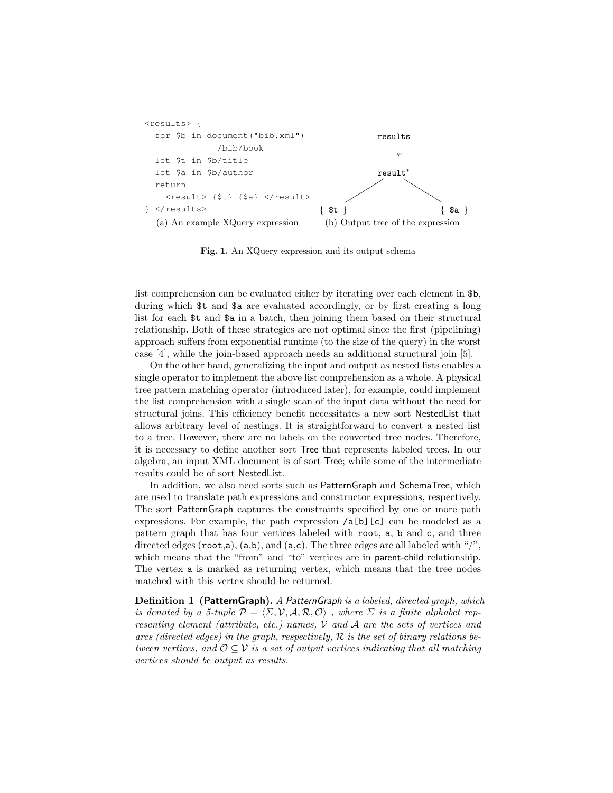

Fig. 1. An XQuery expression and its output schema

list comprehension can be evaluated either by iterating over each element in \$b, during which \$t and \$a are evaluated accordingly, or by first creating a long list for each \$t and \$a in a batch, then joining them based on their structural relationship. Both of these strategies are not optimal since the first (pipelining) approach suffers from exponential runtime (to the size of the query) in the worst case [4], while the join-based approach needs an additional structural join [5].

On the other hand, generalizing the input and output as nested lists enables a single operator to implement the above list comprehension as a whole. A physical tree pattern matching operator (introduced later), for example, could implement the list comprehension with a single scan of the input data without the need for structural joins. This efficiency benefit necessitates a new sort NestedList that allows arbitrary level of nestings. It is straightforward to convert a nested list to a tree. However, there are no labels on the converted tree nodes. Therefore, it is necessary to define another sort Tree that represents labeled trees. In our algebra, an input XML document is of sort Tree; while some of the intermediate results could be of sort NestedList.

In addition, we also need sorts such as PatternGraph and SchemaTree, which are used to translate path expressions and constructor expressions, respectively. The sort PatternGraph captures the constraints specified by one or more path expressions. For example, the path expression  $\Xi$ [c] can be modeled as a pattern graph that has four vertices labeled with root, a, b and c, and three directed edges  $(root, a)$ ,  $(a,b)$ , and  $(a, c)$ . The three edges are all labeled with "/", which means that the "from" and "to" vertices are in parent-child relationship. The vertex a is marked as returning vertex, which means that the tree nodes matched with this vertex should be returned.

**Definition 1 (PatternGraph).** A PatternGraph is a labeled, directed graph, which is denoted by a 5-tuple  $\mathcal{P} = \langle \Sigma, \mathcal{V}, \mathcal{A}, \mathcal{R}, \mathcal{O} \rangle$ , where  $\Sigma$  is a finite alphabet representing element (attribute, etc.) names, V and A are the sets of vertices and arcs (directed edges) in the graph, respectively,  $\mathcal R$  is the set of binary relations between vertices, and  $\mathcal{O} \subseteq \mathcal{V}$  is a set of output vertices indicating that all matching vertices should be output as results.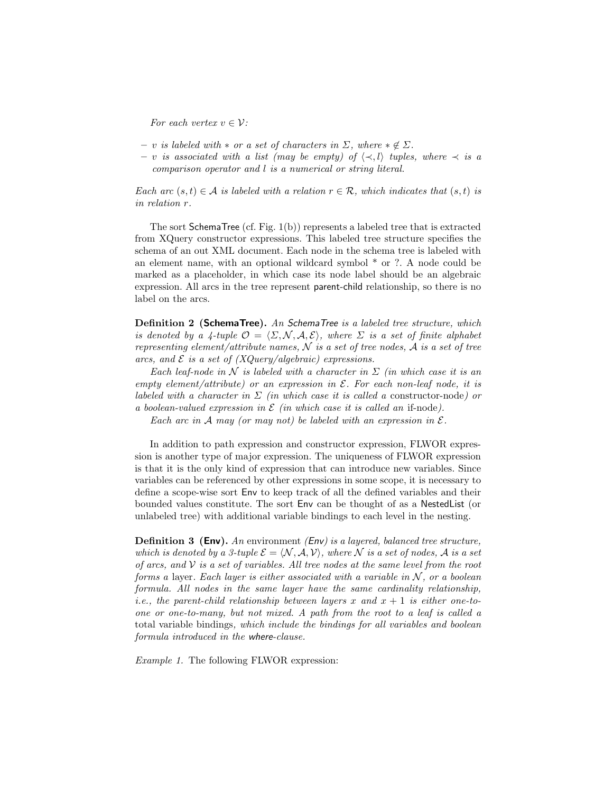For each vertex  $v \in \mathcal{V}$ :

- $-$  v is labeled with  $*$  or a set of characters in Σ, where  $* \notin Σ$ .
- $v$  is associated with a list (may be empty) of  $\langle \prec, l \rangle$  tuples, where  $\prec$  is a comparison operator and l is a numerical or string literal.

Each arc  $(s, t) \in A$  is labeled with a relation  $r \in \mathcal{R}$ , which indicates that  $(s, t)$  is in relation r.

The sort SchemaTree (cf. Fig. 1(b)) represents a labeled tree that is extracted from XQuery constructor expressions. This labeled tree structure specifies the schema of an out XML document. Each node in the schema tree is labeled with an element name, with an optional wildcard symbol \* or ?. A node could be marked as a placeholder, in which case its node label should be an algebraic expression. All arcs in the tree represent parent-child relationship, so there is no label on the arcs.

Definition 2 (SchemaTree). An SchemaTree is a labeled tree structure, which is denoted by a 4-tuple  $\mathcal{O} = \langle \Sigma, \mathcal{N}, \mathcal{A}, \mathcal{E} \rangle$ , where  $\Sigma$  is a set of finite alphabet representing element/attribute names,  $N$  is a set of tree nodes,  $A$  is a set of tree arcs, and  $\mathcal E$  is a set of (XQuery/algebraic) expressions.

Each leaf-node in N is labeled with a character in  $\Sigma$  (in which case it is an empty element/attribute) or an expression in  $\mathcal{E}$ . For each non-leaf node, it is labeled with a character in  $\Sigma$  (in which case it is called a constructor-node) or a boolean-valued expression in  $\mathcal E$  (in which case it is called an if-node).

Each arc in A may (or may not) be labeled with an expression in  $\mathcal{E}$ .

In addition to path expression and constructor expression, FLWOR expression is another type of major expression. The uniqueness of FLWOR expression is that it is the only kind of expression that can introduce new variables. Since variables can be referenced by other expressions in some scope, it is necessary to define a scope-wise sort Env to keep track of all the defined variables and their bounded values constitute. The sort Env can be thought of as a NestedList (or unlabeled tree) with additional variable bindings to each level in the nesting.

**Definition 3 (Env).** An environment (Env) is a layered, balanced tree structure, which is denoted by a 3-tuple  $\mathcal{E} = \langle \mathcal{N}, \mathcal{A}, \mathcal{V} \rangle$ , where N is a set of nodes, A is a set of arcs, and  $V$  is a set of variables. All tree nodes at the same level from the root forms a layer. Each layer is either associated with a variable in  $N$ , or a boolean formula. All nodes in the same layer have the same cardinality relationship, *i.e.*, the parent-child relationship between layers x and  $x + 1$  is either one-toone or one-to-many, but not mixed. A path from the root to a leaf is called a total variable bindings, which include the bindings for all variables and boolean formula introduced in the where-clause.

Example 1. The following FLWOR expression: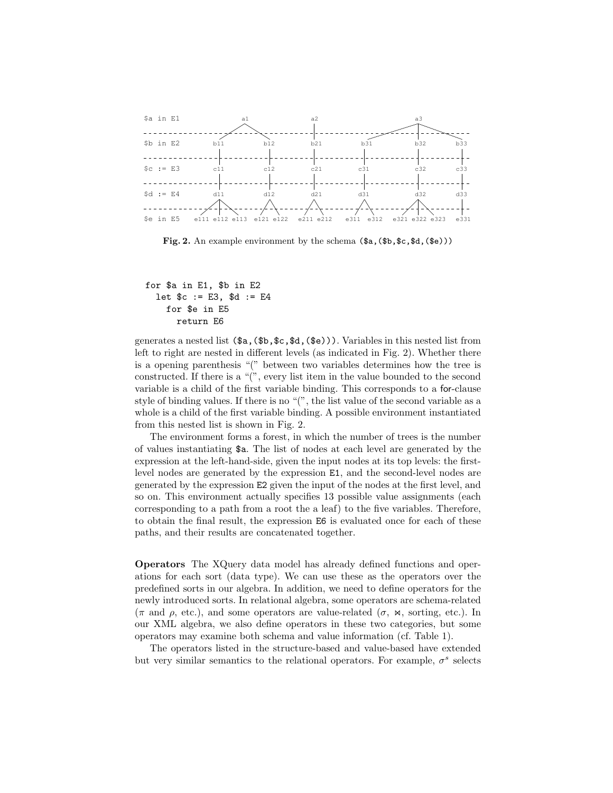

Fig. 2. An example environment by the schema  $(\text{a}, (\text{b}, \text{c}, \text{d}, (\text{e})))$ 

for \$a in E1, \$b in E2 let  $c := E3$ ,  $d := E4$ for \$e in E5 return E6

generates a nested list (\$a,(\$b,\$c,\$d,(\$e))). Variables in this nested list from left to right are nested in different levels (as indicated in Fig. 2). Whether there is a opening parenthesis "(" between two variables determines how the tree is constructed. If there is a "(", every list item in the value bounded to the second variable is a child of the first variable binding. This corresponds to a for-clause style of binding values. If there is no "(", the list value of the second variable as a whole is a child of the first variable binding. A possible environment instantiated from this nested list is shown in Fig. 2.

The environment forms a forest, in which the number of trees is the number of values instantiating \$a. The list of nodes at each level are generated by the expression at the left-hand-side, given the input nodes at its top levels: the firstlevel nodes are generated by the expression E1, and the second-level nodes are generated by the expression E2 given the input of the nodes at the first level, and so on. This environment actually specifies 13 possible value assignments (each corresponding to a path from a root the a leaf) to the five variables. Therefore, to obtain the final result, the expression E6 is evaluated once for each of these paths, and their results are concatenated together.

Operators The XQuery data model has already defined functions and operations for each sort (data type). We can use these as the operators over the predefined sorts in our algebra. In addition, we need to define operators for the newly introduced sorts. In relational algebra, some operators are schema-related  $(\pi \text{ and } \rho, \text{ etc.}),$  and some operators are value-related  $(\sigma, \bowtie, \text{ sorting}, \text{ etc.}).$  In our XML algebra, we also define operators in these two categories, but some operators may examine both schema and value information (cf. Table 1).

The operators listed in the structure-based and value-based have extended but very similar semantics to the relational operators. For example,  $\sigma^s$  selects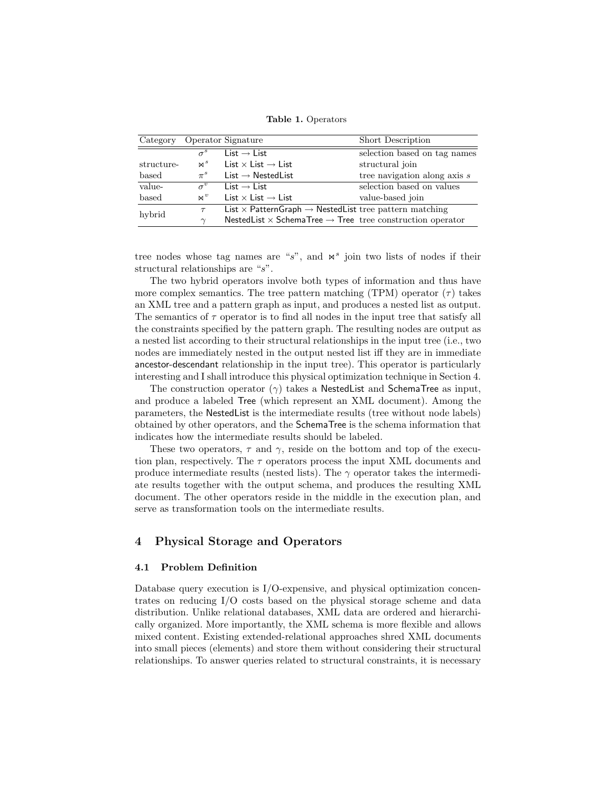Table 1. Operators

|            |               | Category Operator Signature                                                  | Short Description              |
|------------|---------------|------------------------------------------------------------------------------|--------------------------------|
|            | $\sigma^{s}$  | List $\rightarrow$ List                                                      | selection based on tag names   |
| structure- | $\boxtimes^S$ | List $\times$ List $\rightarrow$ List                                        | structural join                |
| based      | $\pi^s$       | $List \rightarrow$ NestedList                                                | tree navigation along axis $s$ |
| value-     | $\sigma^v$    | $list \rightarrow list$                                                      | selection based on values      |
| based      | $\boxtimes^v$ | List $\times$ List $\rightarrow$ List                                        | value-based join               |
| hybrid     | $\tau$        | List $\times$ PatternGraph $\rightarrow$ NestedList tree pattern matching    |                                |
|            | $\sim$        | NestedList $\times$ SchemaTree $\rightarrow$ Tree tree construction operator |                                |

tree nodes whose tag names are "s", and  $\bowtie$ " join two lists of nodes if their structural relationships are "s".

The two hybrid operators involve both types of information and thus have more complex semantics. The tree pattern matching (TPM) operator  $(\tau)$  takes an XML tree and a pattern graph as input, and produces a nested list as output. The semantics of  $\tau$  operator is to find all nodes in the input tree that satisfy all the constraints specified by the pattern graph. The resulting nodes are output as a nested list according to their structural relationships in the input tree (i.e., two nodes are immediately nested in the output nested list iff they are in immediate ancestor-descendant relationship in the input tree). This operator is particularly interesting and I shall introduce this physical optimization technique in Section 4.

The construction operator  $(\gamma)$  takes a NestedList and SchemaTree as input, and produce a labeled Tree (which represent an XML document). Among the parameters, the NestedList is the intermediate results (tree without node labels) obtained by other operators, and the SchemaTree is the schema information that indicates how the intermediate results should be labeled.

These two operators,  $\tau$  and  $\gamma$ , reside on the bottom and top of the execution plan, respectively. The  $\tau$  operators process the input XML documents and produce intermediate results (nested lists). The  $\gamma$  operator takes the intermediate results together with the output schema, and produces the resulting XML document. The other operators reside in the middle in the execution plan, and serve as transformation tools on the intermediate results.

# 4 Physical Storage and Operators

### 4.1 Problem Definition

Database query execution is I/O-expensive, and physical optimization concentrates on reducing I/O costs based on the physical storage scheme and data distribution. Unlike relational databases, XML data are ordered and hierarchically organized. More importantly, the XML schema is more flexible and allows mixed content. Existing extended-relational approaches shred XML documents into small pieces (elements) and store them without considering their structural relationships. To answer queries related to structural constraints, it is necessary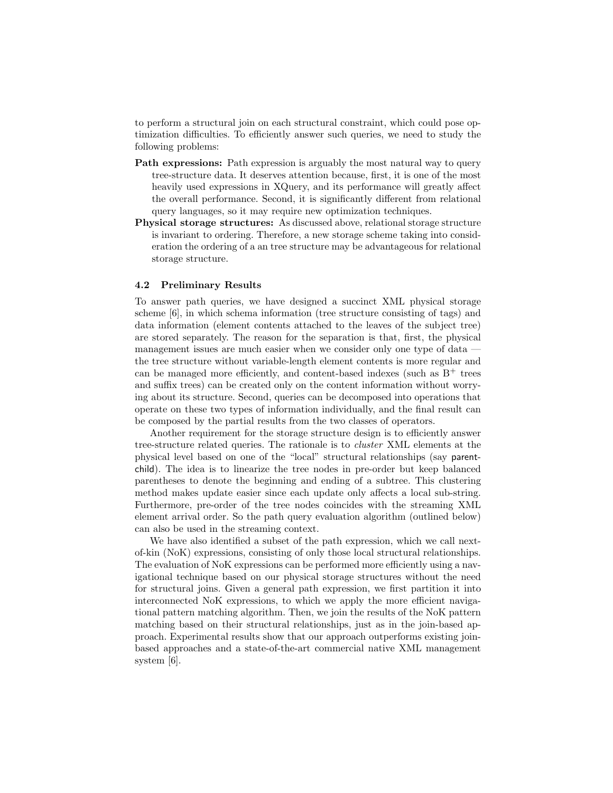to perform a structural join on each structural constraint, which could pose optimization difficulties. To efficiently answer such queries, we need to study the following problems:

- Path expressions: Path expression is arguably the most natural way to query tree-structure data. It deserves attention because, first, it is one of the most heavily used expressions in XQuery, and its performance will greatly affect the overall performance. Second, it is significantly different from relational query languages, so it may require new optimization techniques.
- Physical storage structures: As discussed above, relational storage structure is invariant to ordering. Therefore, a new storage scheme taking into consideration the ordering of a an tree structure may be advantageous for relational storage structure.

#### 4.2 Preliminary Results

To answer path queries, we have designed a succinct XML physical storage scheme [6], in which schema information (tree structure consisting of tags) and data information (element contents attached to the leaves of the subject tree) are stored separately. The reason for the separation is that, first, the physical management issues are much easier when we consider only one type of data the tree structure without variable-length element contents is more regular and can be managed more efficiently, and content-based indexes (such as  $B^+$  trees and suffix trees) can be created only on the content information without worrying about its structure. Second, queries can be decomposed into operations that operate on these two types of information individually, and the final result can be composed by the partial results from the two classes of operators.

Another requirement for the storage structure design is to efficiently answer tree-structure related queries. The rationale is to cluster XML elements at the physical level based on one of the "local" structural relationships (say parentchild). The idea is to linearize the tree nodes in pre-order but keep balanced parentheses to denote the beginning and ending of a subtree. This clustering method makes update easier since each update only affects a local sub-string. Furthermore, pre-order of the tree nodes coincides with the streaming XML element arrival order. So the path query evaluation algorithm (outlined below) can also be used in the streaming context.

We have also identified a subset of the path expression, which we call nextof-kin (NoK) expressions, consisting of only those local structural relationships. The evaluation of NoK expressions can be performed more efficiently using a navigational technique based on our physical storage structures without the need for structural joins. Given a general path expression, we first partition it into interconnected NoK expressions, to which we apply the more efficient navigational pattern matching algorithm. Then, we join the results of the NoK pattern matching based on their structural relationships, just as in the join-based approach. Experimental results show that our approach outperforms existing joinbased approaches and a state-of-the-art commercial native XML management system [6].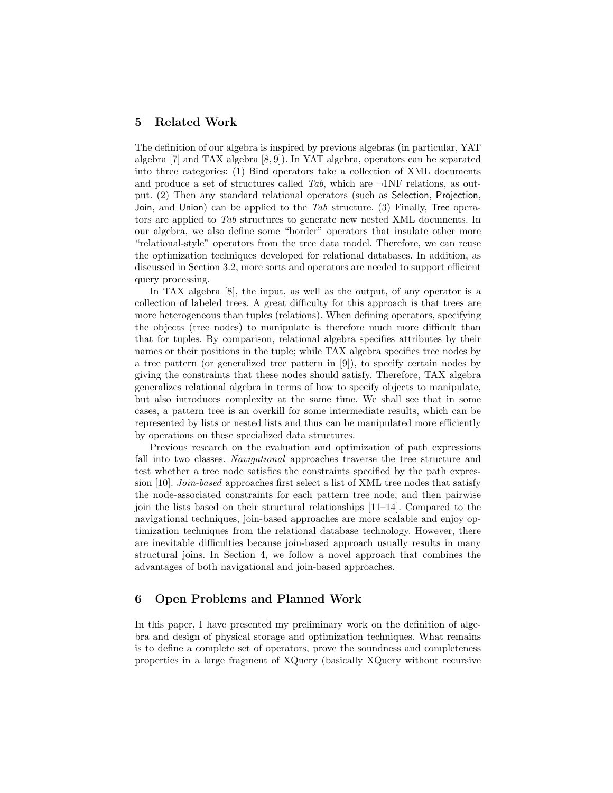### 5 Related Work

The definition of our algebra is inspired by previous algebras (in particular, YAT algebra [7] and TAX algebra [8, 9]). In YAT algebra, operators can be separated into three categories: (1) Bind operators take a collection of XML documents and produce a set of structures called Tab, which are  $\neg$ INF relations, as output. (2) Then any standard relational operators (such as Selection, Projection, Join, and Union) can be applied to the Tab structure. (3) Finally, Tree operators are applied to Tab structures to generate new nested XML documents. In our algebra, we also define some "border" operators that insulate other more "relational-style" operators from the tree data model. Therefore, we can reuse the optimization techniques developed for relational databases. In addition, as discussed in Section 3.2, more sorts and operators are needed to support efficient query processing.

In TAX algebra [8], the input, as well as the output, of any operator is a collection of labeled trees. A great difficulty for this approach is that trees are more heterogeneous than tuples (relations). When defining operators, specifying the objects (tree nodes) to manipulate is therefore much more difficult than that for tuples. By comparison, relational algebra specifies attributes by their names or their positions in the tuple; while TAX algebra specifies tree nodes by a tree pattern (or generalized tree pattern in [9]), to specify certain nodes by giving the constraints that these nodes should satisfy. Therefore, TAX algebra generalizes relational algebra in terms of how to specify objects to manipulate, but also introduces complexity at the same time. We shall see that in some cases, a pattern tree is an overkill for some intermediate results, which can be represented by lists or nested lists and thus can be manipulated more efficiently by operations on these specialized data structures.

Previous research on the evaluation and optimization of path expressions fall into two classes. Navigational approaches traverse the tree structure and test whether a tree node satisfies the constraints specified by the path expression [10]. Join-based approaches first select a list of XML tree nodes that satisfy the node-associated constraints for each pattern tree node, and then pairwise join the lists based on their structural relationships [11–14]. Compared to the navigational techniques, join-based approaches are more scalable and enjoy optimization techniques from the relational database technology. However, there are inevitable difficulties because join-based approach usually results in many structural joins. In Section 4, we follow a novel approach that combines the advantages of both navigational and join-based approaches.

### 6 Open Problems and Planned Work

In this paper, I have presented my preliminary work on the definition of algebra and design of physical storage and optimization techniques. What remains is to define a complete set of operators, prove the soundness and completeness properties in a large fragment of XQuery (basically XQuery without recursive